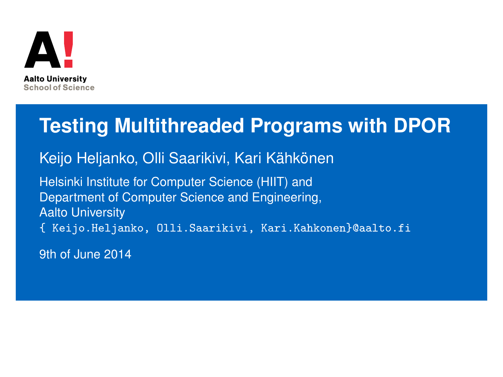

#### **Testing Multithreaded Programs with DPOR**

Keijo Heljanko, Olli Saarikivi, Kari Kähkönen

Helsinki Institute for Computer Science (HIIT) and Department of Computer Science and Engineering, Aalto University { Keijo.Heljanko, Olli.Saarikivi, Kari.Kahkonen}@aalto.fi

9th of June 2014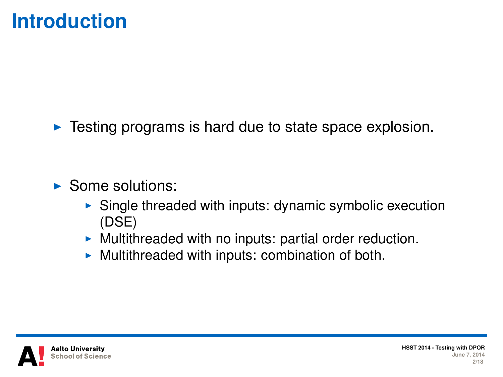#### **Introduction**

 $\blacktriangleright$  Testing programs is hard due to state space explosion.

- $\blacktriangleright$  Some solutions:
	- $\triangleright$  Single threaded with inputs: dynamic symbolic execution (DSE)
	- $\triangleright$  Multithreaded with no inputs: partial order reduction.
	- $\triangleright$  Multithreaded with inputs: combination of both.

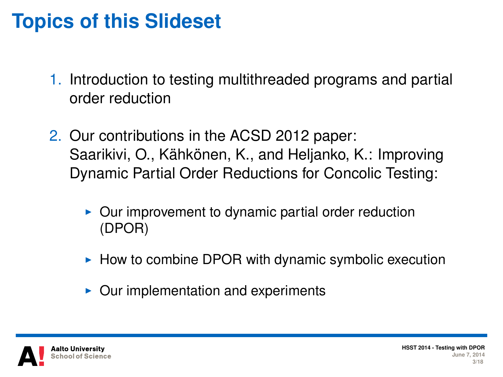### **Topics of this Slideset**

- 1. Introduction to testing multithreaded programs and partial order reduction
- 2. Our contributions in the ACSD 2012 paper: Saarikivi, O., Kähkönen, K., and Heljanko, K.: Improving Dynamic Partial Order Reductions for Concolic Testing:
	- $\triangleright$  Our improvement to dynamic partial order reduction (DPOR)
	- $\blacktriangleright$  How to combine DPOR with dynamic symbolic execution
	- Our implementation and experiments

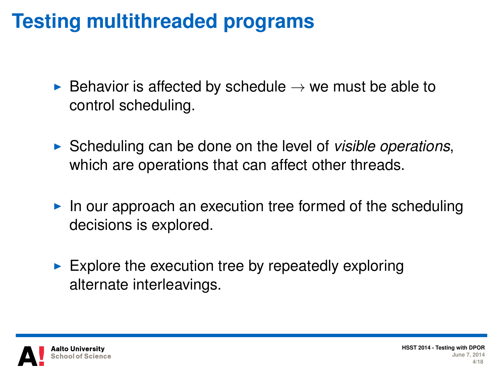## **Testing multithreaded programs**

- $\triangleright$  Behavior is affected by schedule  $\rightarrow$  we must be able to control scheduling.
- ► Scheduling can be done on the level of *visible operations*, which are operations that can affect other threads.
- $\blacktriangleright$  In our approach an execution tree formed of the scheduling decisions is explored.
- $\blacktriangleright$  Explore the execution tree by repeatedly exploring alternate interleavings.

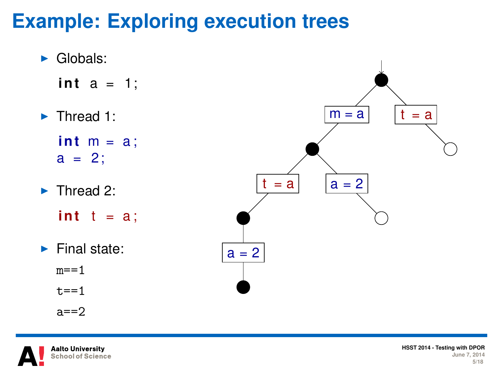# **Example: Exploring execution trees**



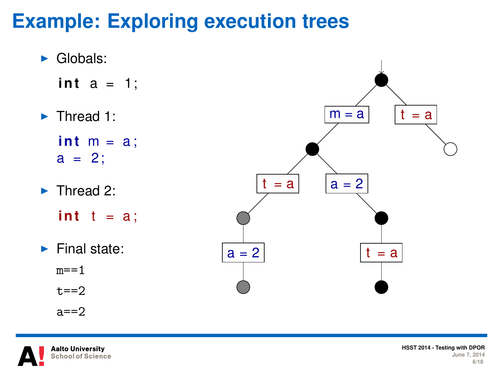# **Example: Exploring execution trees**





**HSST 2014 - Testing with DPOR June 7, 2014 6/18**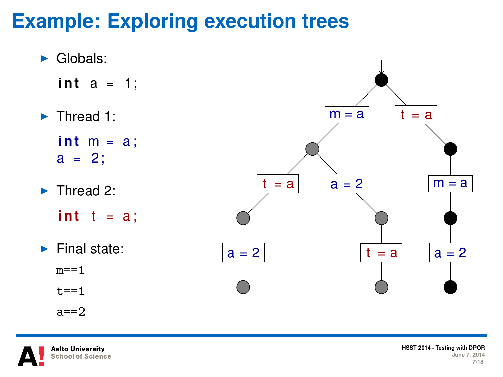# **Example: Exploring execution trees**





**HSST 2014 - Testing with DPOR June 7, 2014 7/18**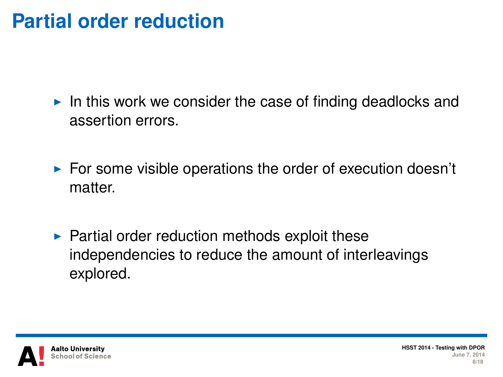#### **Partial order reduction**

- In this work we consider the case of finding deadlocks and assertion errors.
- $\blacktriangleright$  For some visible operations the order of execution doesn't matter.
- $\blacktriangleright$  Partial order reduction methods exploit these independencies to reduce the amount of interleavings explored.



**HSST 2014 - Testing June 7, 2014 8/18**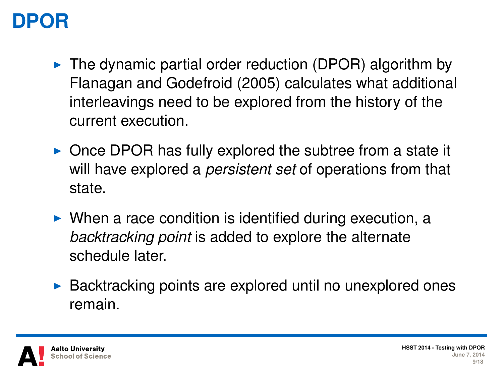## **DPOR**

- $\triangleright$  The dynamic partial order reduction (DPOR) algorithm by Flanagan and Godefroid (2005) calculates what additional interleavings need to be explored from the history of the current execution.
- $\triangleright$  Once DPOR has fully explored the subtree from a state it will have explored a *persistent set* of operations from that state.
- $\triangleright$  When a race condition is identified during execution, a *backtracking point* is added to explore the alternate schedule later.
- $\triangleright$  Backtracking points are explored until no unexplored ones remain.

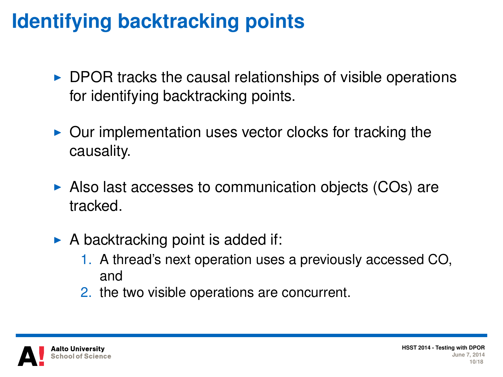# **Identifying backtracking points**

- $\triangleright$  DPOR tracks the causal relationships of visible operations for identifying backtracking points.
- $\triangleright$  Our implementation uses vector clocks for tracking the causality.
- $\triangleright$  Also last accesses to communication objects (COs) are tracked.
- $\triangleright$  A backtracking point is added if:
	- 1. A thread's next operation uses a previously accessed CO, and
	- 2. the two visible operations are concurrent.

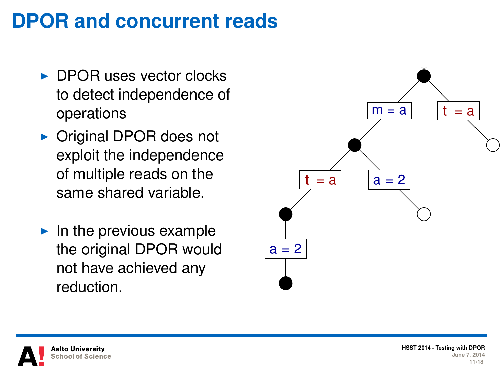### **DPOR and concurrent reads**

- $\triangleright$  DPOR uses vector clocks to detect independence of operations
- $\triangleright$  Original DPOR does not exploit the independence of multiple reads on the same shared variable.
- $\blacktriangleright$  In the previous example the original DPOR would not have achieved any reduction.





**HSST 2014 - Testing June 7, 2014 11/18**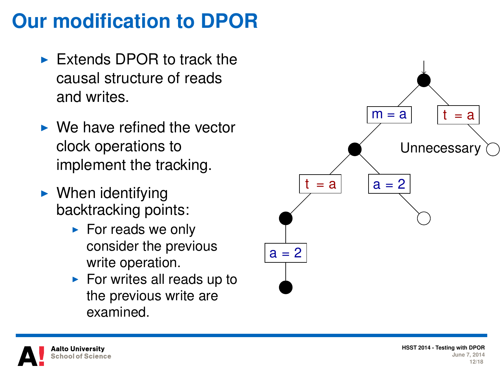### **Our modification to DPOR**

- $\triangleright$  Extends DPOR to track the causal structure of reads and writes.
- $\triangleright$  We have refined the vector clock operations to implement the tracking.
- $\blacktriangleright$  When identifying backtracking points:
	- $\blacktriangleright$  For reads we only consider the previous write operation.
	- $\blacktriangleright$  For writes all reads up to the previous write are examined.





**HSST 2014 - Testing June 7, 2014 12/18**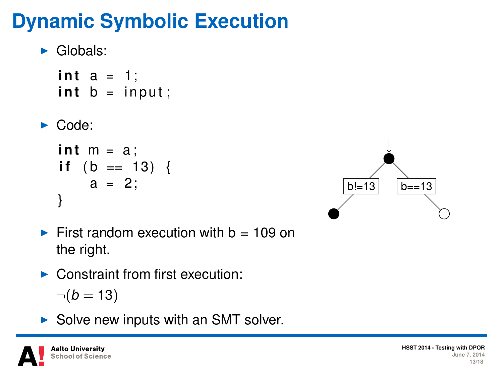# **Dynamic Symbolic Execution**

```
\blacktriangleright Globals:
```

```
int a = 1;
int b = input;
```

```
\blacktriangleright Code:
```

```
int m = a;
if (b == 13) {
   a = 2;
}
```


- First random execution with  $b = 109$  on the right.
- $\triangleright$  Constraint from first execution:

$$
\neg(b=13)
$$

 $\triangleright$  Solve new inputs with an SMT solver.

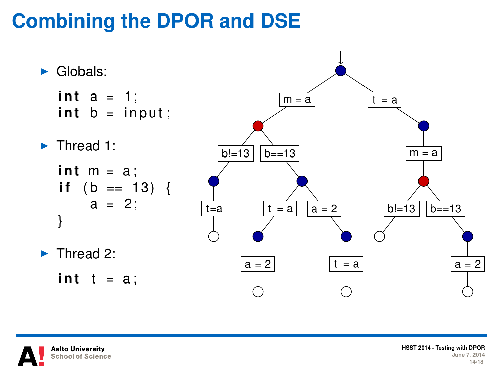# **Combining the DPOR and DSE**



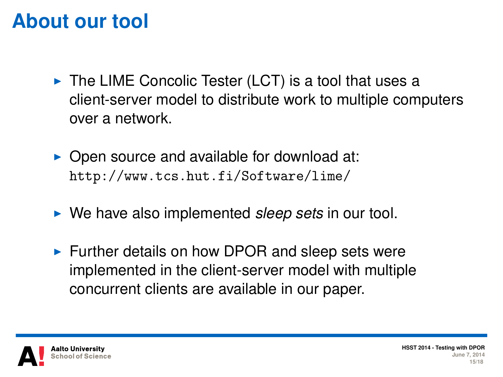#### **About our tool**

- $\triangleright$  The LIME Concolic Tester (LCT) is a tool that uses a client-server model to distribute work to multiple computers over a network.
- $\triangleright$  Open source and available for download at: <http://www.tcs.hut.fi/Software/lime/>
- ► We have also implemented *sleep sets* in our tool.
- $\blacktriangleright$  Further details on how DPOR and sleep sets were implemented in the client-server model with multiple concurrent clients are available in our paper.

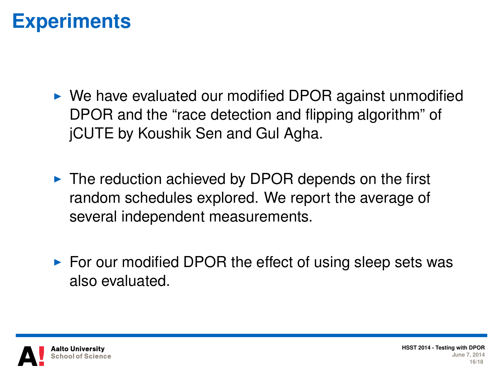#### **Experiments**

- $\triangleright$  We have evaluated our modified DPOR against unmodified DPOR and the "race detection and flipping algorithm" of jCUTE by Koushik Sen and Gul Agha.
- $\triangleright$  The reduction achieved by DPOR depends on the first random schedules explored. We report the average of several independent measurements.
- $\triangleright$  For our modified DPOR the effect of using sleep sets was also evaluated.

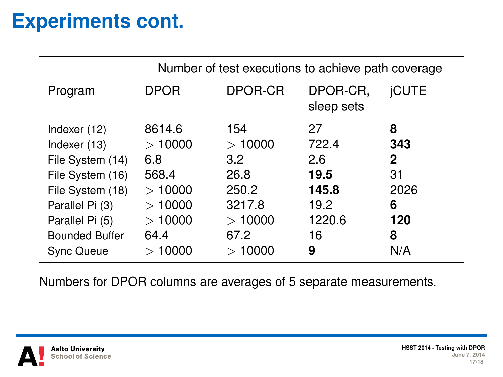### **Experiments cont.**

|                                                                                                                                                         | Number of test executions to achieve path coverage                     |                                                                   |                                                             |                                              |
|---------------------------------------------------------------------------------------------------------------------------------------------------------|------------------------------------------------------------------------|-------------------------------------------------------------------|-------------------------------------------------------------|----------------------------------------------|
| Program                                                                                                                                                 | <b>DPOR</b>                                                            | DPOR-CR                                                           | DPOR-CR.<br>sleep sets                                      | <b>iCUTE</b>                                 |
| Indexer (12)<br>Indexer (13)<br>File System (14)<br>File System (16)<br>File System (18)<br>Parallel Pi (3)<br>Parallel Pi (5)<br><b>Bounded Buffer</b> | 8614.6<br>>10000<br>6.8<br>568.4<br>>10000<br>>10000<br>>10000<br>64.4 | 154<br>>10000<br>3.2<br>26.8<br>250.2<br>3217.8<br>>10000<br>67.2 | 27<br>722.4<br>2.6<br>19.5<br>145.8<br>19.2<br>1220.6<br>16 | 8<br>343<br>2<br>31<br>2026<br>6<br>120<br>8 |
| <b>Sync Queue</b>                                                                                                                                       | 10000<br>$\gt$                                                         | >10000                                                            | 9                                                           | N/A                                          |

Numbers for DPOR columns are averages of 5 separate measurements.